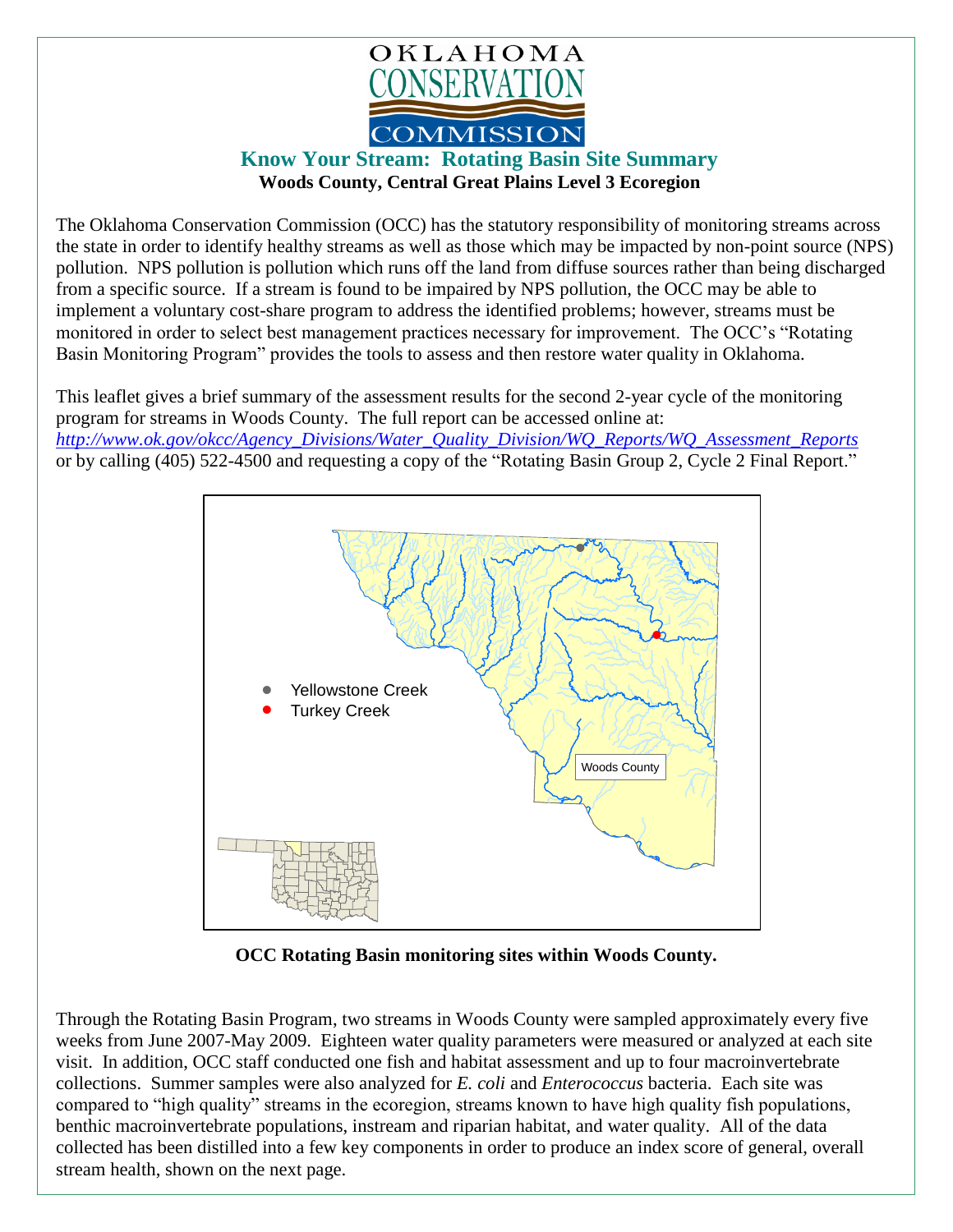

## **Know Your Stream: Rotating Basin Site Summary Woods County, Central Great Plains Level 3 Ecoregion**

The Oklahoma Conservation Commission (OCC) has the statutory responsibility of monitoring streams across the state in order to identify healthy streams as well as those which may be impacted by non-point source (NPS) pollution. NPS pollution is pollution which runs off the land from diffuse sources rather than being discharged from a specific source. If a stream is found to be impaired by NPS pollution, the OCC may be able to implement a voluntary cost-share program to address the identified problems; however, streams must be monitored in order to select best management practices necessary for improvement. The OCC's "Rotating Basin Monitoring Program" provides the tools to assess and then restore water quality in Oklahoma.

This leaflet gives a brief summary of the assessment results for the second 2-year cycle of the monitoring program for streams in Woods County. The full report can be accessed online at: *[http://www.ok.gov/okcc/Agency\\_Divisions/Water\\_Quality\\_Division/WQ\\_Reports/WQ\\_Assessment\\_Reports](http://www.ok.gov/okcc/Agency_Divisions/Water_Quality_Division/WQ_Reports/WQ_Assessment_Reports)* or by calling (405) 522-4500 and requesting a copy of the "Rotating Basin Group 2, Cycle 2 Final Report."



**OCC Rotating Basin monitoring sites within Woods County.**

Through the Rotating Basin Program, two streams in Woods County were sampled approximately every five weeks from June 2007-May 2009. Eighteen water quality parameters were measured or analyzed at each site visit. In addition, OCC staff conducted one fish and habitat assessment and up to four macroinvertebrate collections. Summer samples were also analyzed for *E. coli* and *Enterococcus* bacteria. Each site was compared to "high quality" streams in the ecoregion, streams known to have high quality fish populations, benthic macroinvertebrate populations, instream and riparian habitat, and water quality. All of the data collected has been distilled into a few key components in order to produce an index score of general, overall stream health, shown on the next page.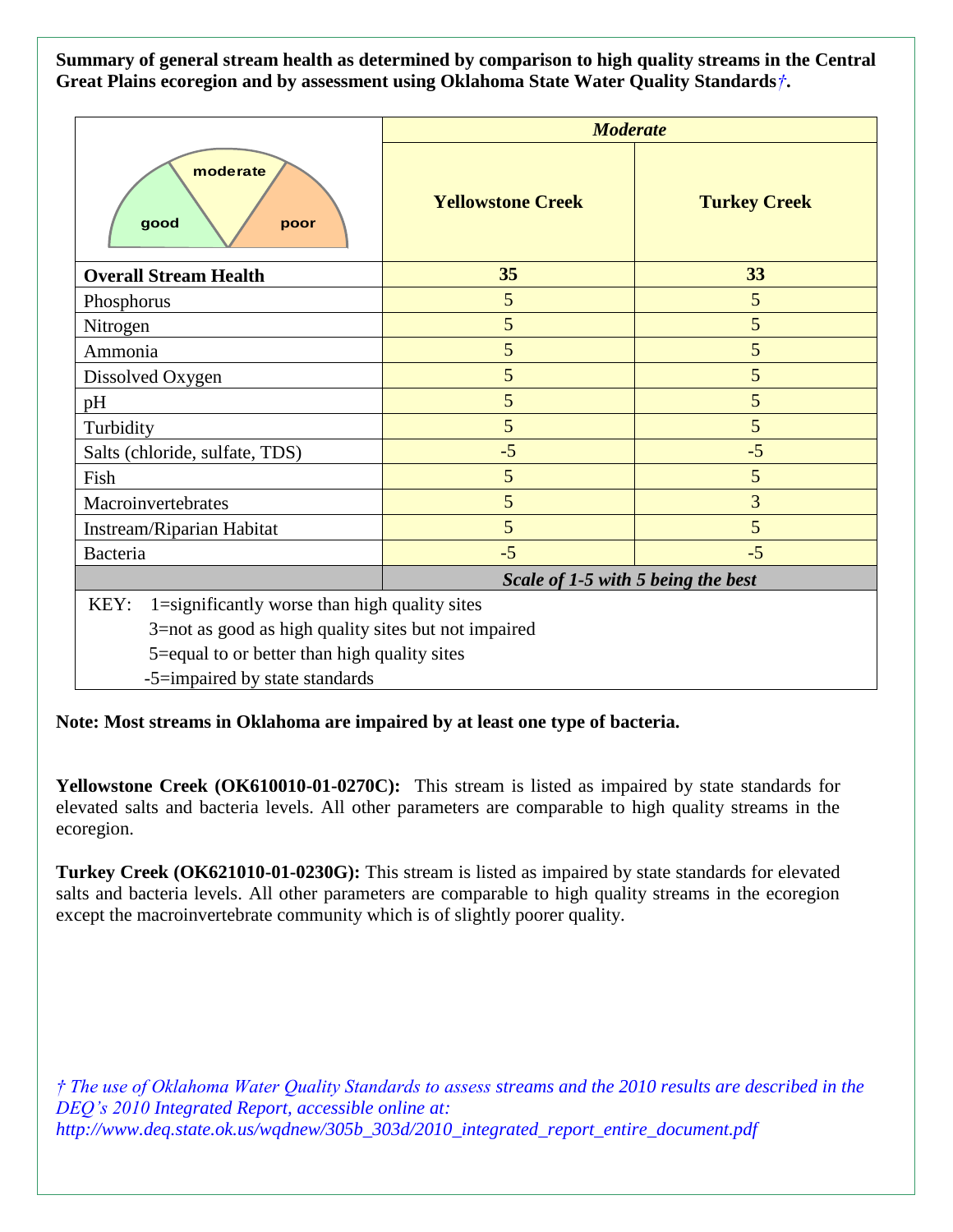**Summary of general stream health as determined by comparison to high quality streams in the Central Great Plains ecoregion and by assessment using Oklahoma State Water Quality Standards***†***.**

|                                                       | <b>Moderate</b>                    |                     |
|-------------------------------------------------------|------------------------------------|---------------------|
| moderate<br>good<br>poor                              | <b>Yellowstone Creek</b>           | <b>Turkey Creek</b> |
| <b>Overall Stream Health</b>                          | 35                                 | 33                  |
| Phosphorus                                            | 5                                  | 5                   |
| Nitrogen                                              | 5                                  | 5                   |
| Ammonia                                               | 5                                  | 5                   |
| Dissolved Oxygen                                      | 5                                  | 5                   |
| pH                                                    | 5                                  | 5                   |
| Turbidity                                             | 5                                  | 5                   |
| Salts (chloride, sulfate, TDS)                        | $-5$                               | $-5$                |
| Fish                                                  | 5                                  | 5                   |
| Macroinvertebrates                                    | 5                                  | 3                   |
| Instream/Riparian Habitat                             | 5                                  | 5                   |
| Bacteria                                              | $-5$                               | $-5$                |
|                                                       | Scale of 1-5 with 5 being the best |                     |
| KEY:<br>1=significantly worse than high quality sites |                                    |                     |
| 3=not as good as high quality sites but not impaired  |                                    |                     |
| 5=equal to or better than high quality sites          |                                    |                     |

-5=impaired by state standards

**Note: Most streams in Oklahoma are impaired by at least one type of bacteria.**

**Yellowstone Creek (OK610010-01-0270C):** This stream is listed as impaired by state standards for elevated salts and bacteria levels. All other parameters are comparable to high quality streams in the ecoregion.

**Turkey Creek (OK621010-01-0230G):** This stream is listed as impaired by state standards for elevated salts and bacteria levels. All other parameters are comparable to high quality streams in the ecoregion except the macroinvertebrate community which is of slightly poorer quality.

*† The use of Oklahoma Water Quality Standards to assess streams and the 2010 results are described in the DEQ's 2010 Integrated Report, accessible online at: http://www.deq.state.ok.us/wqdnew/305b\_303d/2010\_integrated\_report\_entire\_document.pdf*